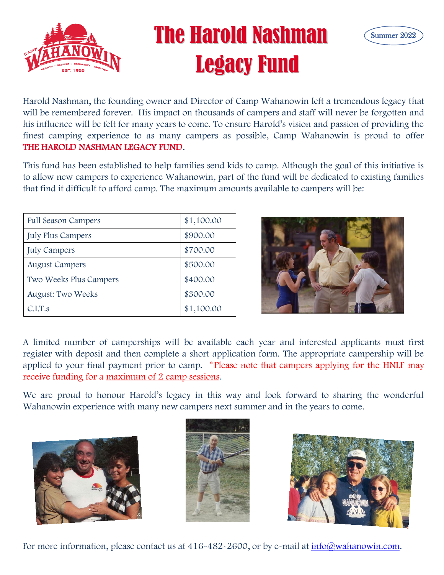

## The Harold Nashman Legacy Fund



Legac

Harold Nashman, the founding owner and Director of Camp Wahanowin left a tremendous legacy that will be remembered forever. His impact on thousands of campers and staff will never be forgotten and his influence will be felt for many years to come. To ensure Harold's vision and passion of providing the his influence will be felt for many years to come. To ensure Harold's vision and passion of providing the finest camping experience to as many campers as possible, Camp Wahanowin is proud to offer **THE HAROLD NASHMAN LEGACY FUND**. THE HAROLD NASHMAN LEGACY FUND.

This fund has been established to help families send kids to camp. Although the goal of this initiative is This fund has been established to help families send kids to camp. Although the goal of this initiative is<br>to allow new campers to experience Wahanowin, part of the fund will be dedicated to existing families that find it difficult to afford camp. The maximum amounts available to campers will be:

| <b>Full Season Campers</b> | \$1,100.00 |
|----------------------------|------------|
| <b>July Plus Campers</b>   | \$900.00   |
| <b>July Campers</b>        | \$700.00   |
| <b>August Campers</b>      | \$500.00   |
| Two Weeks Plus Campers     | \$400.00   |
| <b>August: Two Weeks</b>   | \$300.00   |
| C.I.T.s                    | \$1,100.00 |



A limited number of camperships will be available each year and interested applicants must first register with deposit and then complete a short application form. The appropriate campership will be applied to your final payment prior to camp. \* Please note that campers applying for the HNLF may receive funding for a maximum of 2 camp sessions.

We are proud to honour Harold's legacy in this way and look forward to sharing the wonderful Wahanowin experience with many new campers next summer and in the years to come.







For more information, please contact us at 416-482-2600, or by e-mail at [info@wahanowin.com.](mailto:info@wahanowin.com)